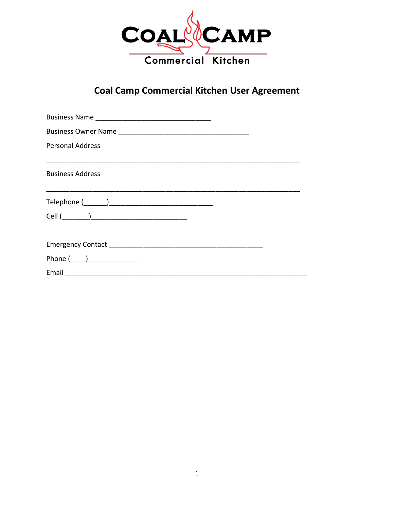

# **Coal Camp Commercial Kitchen User Agreement**

| <b>Personal Address</b>                            |  |  |
|----------------------------------------------------|--|--|
|                                                    |  |  |
| <b>Business Address</b>                            |  |  |
|                                                    |  |  |
|                                                    |  |  |
|                                                    |  |  |
|                                                    |  |  |
|                                                    |  |  |
| Phone $(\_\_)$                                     |  |  |
| Email <u>________________________________</u> ____ |  |  |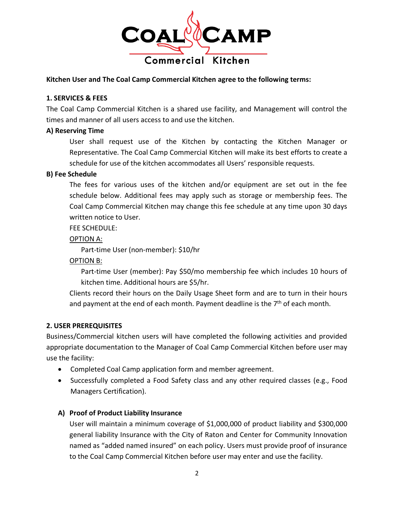

#### **Kitchen User and The Coal Camp Commercial Kitchen agree to the following terms:**

#### **1. SERVICES & FEES**

The Coal Camp Commercial Kitchen is a shared use facility, and Management will control the times and manner of all users access to and use the kitchen.

#### **A) Reserving Time**

User shall request use of the Kitchen by contacting the Kitchen Manager or Representative. The Coal Camp Commercial Kitchen will make its best efforts to create a schedule for use of the kitchen accommodates all Users' responsible requests.

#### **B) Fee Schedule**

The fees for various uses of the kitchen and/or equipment are set out in the fee schedule below. Additional fees may apply such as storage or membership fees. The Coal Camp Commercial Kitchen may change this fee schedule at any time upon 30 days written notice to User.

FEE SCHEDULE:

OPTION A:

Part-time User (non-member): \$10/hr

OPTION B:

Part-time User (member): Pay \$50/mo membership fee which includes 10 hours of kitchen time. Additional hours are \$5/hr.

Clients record their hours on the Daily Usage Sheet form and are to turn in their hours and payment at the end of each month. Payment deadline is the  $7<sup>th</sup>$  of each month.

#### **2. USER PREREQUISITES**

Business/Commercial kitchen users will have completed the following activities and provided appropriate documentation to the Manager of Coal Camp Commercial Kitchen before user may use the facility:

- Completed Coal Camp application form and member agreement.
- Successfully completed a Food Safety class and any other required classes (e.g., Food Managers Certification).

## **A) Proof of Product Liability Insurance**

User will maintain a minimum coverage of \$1,000,000 of product liability and \$300,000 general liability Insurance with the City of Raton and Center for Community Innovation named as "added named insured" on each policy. Users must provide proof of insurance to the Coal Camp Commercial Kitchen before user may enter and use the facility.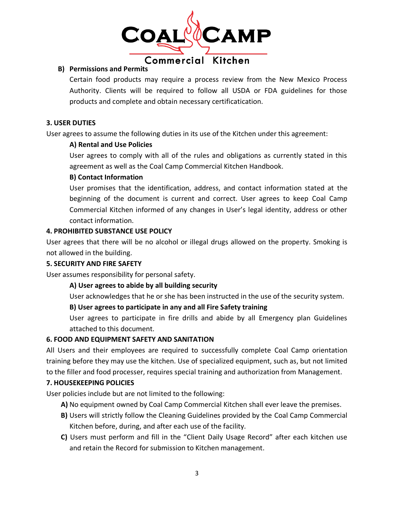

## **B) Permissions and Permits**

Certain food products may require a process review from the New Mexico Process Authority. Clients will be required to follow all USDA or FDA guidelines for those products and complete and obtain necessary certificatication.

## **3. USER DUTIES**

User agrees to assume the following duties in its use of the Kitchen under this agreement:

## **A) Rental and Use Policies**

User agrees to comply with all of the rules and obligations as currently stated in this agreement as well as the Coal Camp Commercial Kitchen Handbook.

## **B) Contact Information**

User promises that the identification, address, and contact information stated at the beginning of the document is current and correct. User agrees to keep Coal Camp Commercial Kitchen informed of any changes in User's legal identity, address or other contact information.

## **4. PROHIBITED SUBSTANCE USE POLICY**

User agrees that there will be no alcohol or illegal drugs allowed on the property. Smoking is not allowed in the building.

## **5. SECURITY AND FIRE SAFETY**

User assumes responsibility for personal safety.

## **A) User agrees to abide by all building security**

User acknowledges that he or she has been instructed in the use of the security system.

## **B) User agrees to participate in any and all Fire Safety training**

User agrees to participate in fire drills and abide by all Emergency plan Guidelines attached to this document.

## **6. FOOD AND EQUIPMENT SAFETY AND SANITATION**

All Users and their employees are required to successfully complete Coal Camp orientation training before they may use the kitchen. Use of specialized equipment, such as, but not limited to the filler and food processer, requires special training and authorization from Management.

## **7. HOUSEKEEPING POLICIES**

User policies include but are not limited to the following:

- **A)** No equipment owned by Coal Camp Commercial Kitchen shall ever leave the premises.
- **B)** Users will strictly follow the Cleaning Guidelines provided by the Coal Camp Commercial Kitchen before, during, and after each use of the facility.
- **C)** Users must perform and fill in the "Client Daily Usage Record" after each kitchen use and retain the Record for submission to Kitchen management.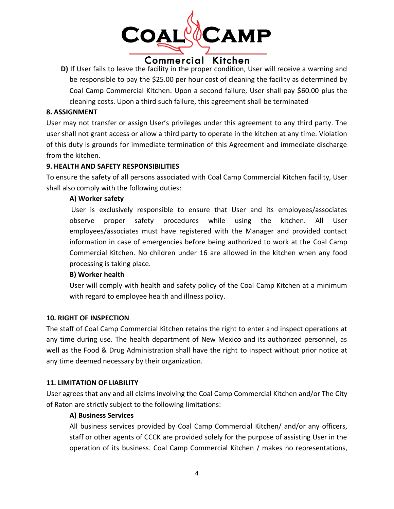

**D)** If User fails to leave the facility in the proper condition, User will receive a warning and be responsible to pay the \$25.00 per hour cost of cleaning the facility as determined by Coal Camp Commercial Kitchen. Upon a second failure, User shall pay \$60.00 plus the cleaning costs. Upon a third such failure, this agreement shall be terminated

#### **8. ASSIGNMENT**

User may not transfer or assign User's privileges under this agreement to any third party. The user shall not grant access or allow a third party to operate in the kitchen at any time. Violation of this duty is grounds for immediate termination of this Agreement and immediate discharge from the kitchen.

## **9. HEALTH AND SAFETY RESPONSIBILITIES**

To ensure the safety of all persons associated with Coal Camp Commercial Kitchen facility, User shall also comply with the following duties:

## **A) Worker safety**

User is exclusively responsible to ensure that User and its employees/associates observe proper safety procedures while using the kitchen. All User employees/associates must have registered with the Manager and provided contact information in case of emergencies before being authorized to work at the Coal Camp Commercial Kitchen. No children under 16 are allowed in the kitchen when any food processing is taking place.

#### **B) Worker health**

User will comply with health and safety policy of the Coal Camp Kitchen at a minimum with regard to employee health and illness policy.

#### **10. RIGHT OF INSPECTION**

The staff of Coal Camp Commercial Kitchen retains the right to enter and inspect operations at any time during use. The health department of New Mexico and its authorized personnel, as well as the Food & Drug Administration shall have the right to inspect without prior notice at any time deemed necessary by their organization.

#### **11. LIMITATION OF LIABILITY**

User agrees that any and all claims involving the Coal Camp Commercial Kitchen and/or The City of Raton are strictly subject to the following limitations:

#### **A) Business Services**

All business services provided by Coal Camp Commercial Kitchen/ and/or any officers, staff or other agents of CCCK are provided solely for the purpose of assisting User in the operation of its business. Coal Camp Commercial Kitchen / makes no representations,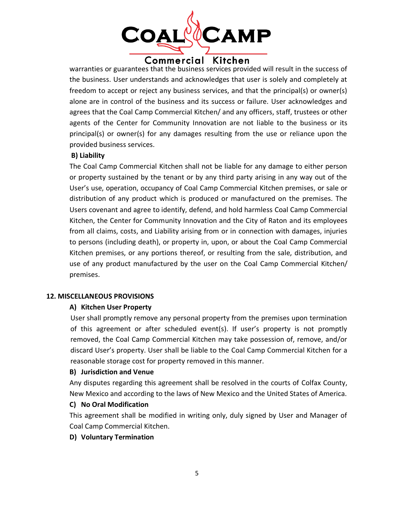

warranties or guarantees that the business services provided will result in the success of the business. User understands and acknowledges that user is solely and completely at freedom to accept or reject any business services, and that the principal(s) or owner(s) alone are in control of the business and its success or failure. User acknowledges and agrees that the Coal Camp Commercial Kitchen/ and any officers, staff, trustees or other agents of the Center for Community Innovation are not liable to the business or its principal(s) or owner(s) for any damages resulting from the use or reliance upon the provided business services.

## **B) Liability**

The Coal Camp Commercial Kitchen shall not be liable for any damage to either person or property sustained by the tenant or by any third party arising in any way out of the User's use, operation, occupancy of Coal Camp Commercial Kitchen premises, or sale or distribution of any product which is produced or manufactured on the premises. The Users covenant and agree to identify, defend, and hold harmless Coal Camp Commercial Kitchen, the Center for Community Innovation and the City of Raton and its employees from all claims, costs, and Liability arising from or in connection with damages, injuries to persons (including death), or property in, upon, or about the Coal Camp Commercial Kitchen premises, or any portions thereof, or resulting from the sale, distribution, and use of any product manufactured by the user on the Coal Camp Commercial Kitchen/ premises.

#### **12. MISCELLANEOUS PROVISIONS**

#### **A) Kitchen User Property**

User shall promptly remove any personal property from the premises upon termination of this agreement or after scheduled event(s). If user's property is not promptly removed, the Coal Camp Commercial Kitchen may take possession of, remove, and/or discard User's property. User shall be liable to the Coal Camp Commercial Kitchen for a reasonable storage cost for property removed in this manner.

#### **B) Jurisdiction and Venue**

Any disputes regarding this agreement shall be resolved in the courts of Colfax County, New Mexico and according to the laws of New Mexico and the United States of America.

#### **C) No Oral Modification**

This agreement shall be modified in writing only, duly signed by User and Manager of Coal Camp Commercial Kitchen.

#### **D) Voluntary Termination**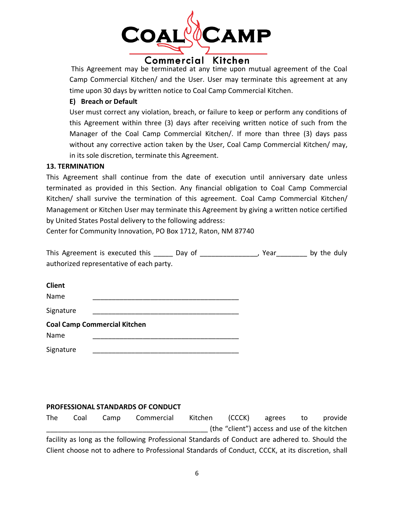

This Agreement may be terminated at any time upon mutual agreement of the Coal Camp Commercial Kitchen/ and the User. User may terminate this agreement at any time upon 30 days by written notice to Coal Camp Commercial Kitchen.

## **E) Breach or Default**

User must correct any violation, breach, or failure to keep or perform any conditions of this Agreement within three (3) days after receiving written notice of such from the Manager of the Coal Camp Commercial Kitchen/. If more than three (3) days pass without any corrective action taken by the User, Coal Camp Commercial Kitchen/ may, in its sole discretion, terminate this Agreement.

#### **13. TERMINATION**

This Agreement shall continue from the date of execution until anniversary date unless terminated as provided in this Section. Any financial obligation to Coal Camp Commercial Kitchen/ shall survive the termination of this agreement. Coal Camp Commercial Kitchen/ Management or Kitchen User may terminate this Agreement by giving a written notice certified by United States Postal delivery to the following address:

Center for Community Innovation, PO Box 1712, Raton, NM 87740

This Agreement is executed this \_\_\_\_\_ Day of \_\_\_\_\_\_\_\_\_\_\_\_\_, Year \_\_\_\_\_\_\_ by the duly authorized representative of each party.

| <b>Client</b> |                                     |
|---------------|-------------------------------------|
| Name          |                                     |
| Signature     |                                     |
|               | <b>Coal Camp Commercial Kitchen</b> |
| Name          |                                     |
| Signature     |                                     |

## **PROFESSIONAL STANDARDS OF CONDUCT**

The Coal Camp Commercial Kitchen (CCCK) agrees to provide \_\_\_\_\_\_\_\_\_\_\_\_\_\_\_\_\_\_\_\_\_\_\_\_\_\_\_\_\_\_\_\_\_\_\_\_\_\_\_\_\_\_ (the "client") access and use of the kitchen facility as long as the following Professional Standards of Conduct are adhered to. Should the Client choose not to adhere to Professional Standards of Conduct, CCCK, at its discretion, shall